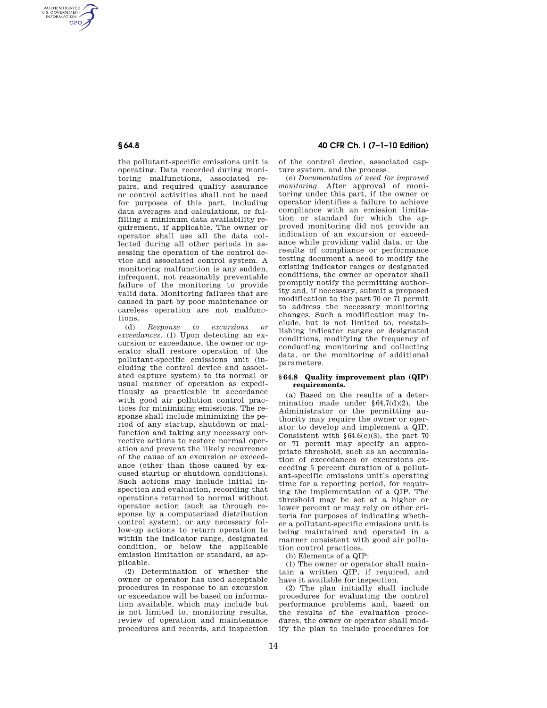AUTHENTICATED<br>U.S. GOVERNMENT<br>INFORMATION **GPO** 

> the pollutant-specific emissions unit is operating. Data recorded during monitoring malfunctions, associated repairs, and required quality assurance or control activities shall not be used for purposes of this part, including data averages and calculations, or fulfilling a minimum data availability requirement, if applicable. The owner or operator shall use all the data collected during all other periods in assessing the operation of the control device and associated control system. A monitoring malfunction is any sudden, infrequent, not reasonably preventable failure of the monitoring to provide valid data. Monitoring failures that are caused in part by poor maintenance or careless operation are not malfunctions.

> (d) *Response to excursions or exceedances.* (1) Upon detecting an excursion or exceedance, the owner or operator shall restore operation of the pollutant-specific emissions unit (including the control device and associated capture system) to its normal or usual manner of operation as expeditiously as practicable in accordance with good air pollution control practices for minimizing emissions. The response shall include minimizing the period of any startup, shutdown or malfunction and taking any necessary corrective actions to restore normal operation and prevent the likely recurrence of the cause of an excursion or exceedance (other than those caused by excused startup or shutdown conditions). Such actions may include initial inspection and evaluation, recording that operations returned to normal without operator action (such as through response by a computerized distribution control system), or any necessary follow-up actions to return operation to within the indicator range, designated condition, or below the applicable emission limitation or standard, as applicable.

> (2) Determination of whether the owner or operator has used acceptable procedures in response to an excursion or exceedance will be based on information available, which may include but is not limited to, monitoring results, review of operation and maintenance procedures and records, and inspection

# **§ 64.8 40 CFR Ch. I (7–1–10 Edition)**

of the control device, associated capture system, and the process.

(e) *Documentation of need for improved monitoring.* After approval of monitoring under this part, if the owner or operator identifies a failure to achieve compliance with an emission limitation or standard for which the approved monitoring did not provide an indication of an excursion or exceedance while providing valid data, or the results of compliance or performance testing document a need to modify the existing indicator ranges or designated conditions, the owner or operator shall promptly notify the permitting authority and, if necessary, submit a proposed modification to the part 70 or 71 permit to address the necessary monitoring changes. Such a modification may include, but is not limited to, reestablishing indicator ranges or designated conditions, modifying the frequency of conducting monitoring and collecting data, or the monitoring of additional parameters.

### **§ 64.8 Quality improvement plan (QIP) requirements.**

(a) Based on the results of a determination made under §64.7(d)(2), the Administrator or the permitting authority may require the owner or operator to develop and implement a QIP. Consistent with  $§64.6(c)(3)$ , the part 70 or 71 permit may specify an appropriate threshold, such as an accumulation of exceedances or excursions exceeding 5 percent duration of a pollutant-specific emissions unit's operating time for a reporting period, for requiring the implementation of a QIP. The threshold may be set at a higher or lower percent or may rely on other criteria for purposes of indicating whether a pollutant-specific emissions unit is being maintained and operated in a manner consistent with good air pollution control practices.

(b) Elements of a QIP:

(1) The owner or operator shall maintain a written QIP, if required, and have it available for inspection.

(2) The plan initially shall include procedures for evaluating the control performance problems and, based on the results of the evaluation procedures, the owner or operator shall modify the plan to include procedures for